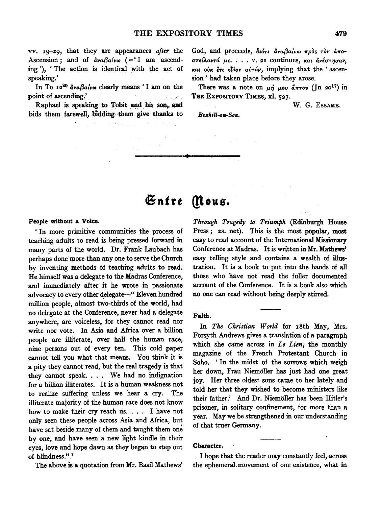vv. 19-29, that they are appearances *after* the Ascension ; and of  $d\nu a\beta a\ell\nu\omega$  (=' I am ascending'), 'The action is identical with the act of speaking.'

In To 12<sup>20</sup> dva $\beta$ aivw clearly means 'I am on the point of ascending.'

Raphael is speaking to Tobit and his son, and bids them farewell, bidding them give thanks to

God, and proceeds, διότι αναβαίνω πρός τον άπο*fTTflAaVT&. p.ti •* ••• v. 21 continues, *KaL d.vlcrTT/crav, KaL olJK* ~TL *tl8ov alJTov,* implying that the 'ascension ' had taken place before they arose.

There was a note on  $\mu\eta$   $\mu\sigma v$   $\tilde{a}\pi\tau\sigma v$  ( $\lceil n \ 20^{17} \rceil$  in THE EXPOSITORY TIMES, xl. 527.

w. G. ESSAME.

*Bexhill-on-Sea .* 

# $\mathfrak{E}$ ntre *(flous.*

..

People without a Voice.

' In more primitive communities the process of teaching adults to read is being pressed forward in many parts of the world. Dr. Frank Laubach has perhaps done more than any one to serve the Church by inventing methods of teaching adults to read. He himself was a delegate to the Madras Conference, and immediately after it he wrote in passionate advocacy to every other delegate-" Eleven hundred million people, almost two-thirds of the world, had no delegate at the Conference, never had a delegate anywhere, are voiceless, for they cannot read nor write nor vote. In Asia and Mrica over a billion people are illiterate, over half the human race, nine persons out of every ten. This cold paper cannot tell you what that means. You think it is a pity they cannot read, but the real tragedy is that they cannot speak. . . . We had no indignation for a billion illiterates. It is a human weakness not to realize suffering unless we hear a cry. The illiterate majority of the human race does not know how to make their cry reach us. . . . I have not only seen these people across Asia and Africa, but have sat beside many of them and taught them one by one, and have seen a new light kindle in their eyes, love and hope dawn as they began to step out of blindness."<sup>"</sup>

The above is a quotation from Mr. Basil Mathews'

*Through Tragedy to Triumph* (Edinburgh House Press; 2s. net). This is the most popular, most easy to read account of the International Missionary Conference at Madras. It is written in Mr. Mathews' easy telling style and contains a wealth of illustration. It is a book to put into the hands of all those who have not read the fuller documented account of the Conference. It is a book also which no one can read without being deeply stirred.

#### Faith.

In *The Christian World* for 18th May, Mrs. Forsyth Andrews gives a translation of a paragraph which she came across in *Le Lien,* the monthly magazine of the French Protestant Church in Soho. ' In the midst of the sorrows which weigh her down, Frau Niemoller has just had one great joy. Her three oldest sons came to her lately and told her that they wished to become ministers like their father.' And Dr. Niemoller has been Hitler's prisoner, in solitary confinement, for more than a year. May we be strengthened in our understanding of that truer Germany.

### Character.

I hope that the reader may constantly feel, across the ephemeral.movement of one existence, what in